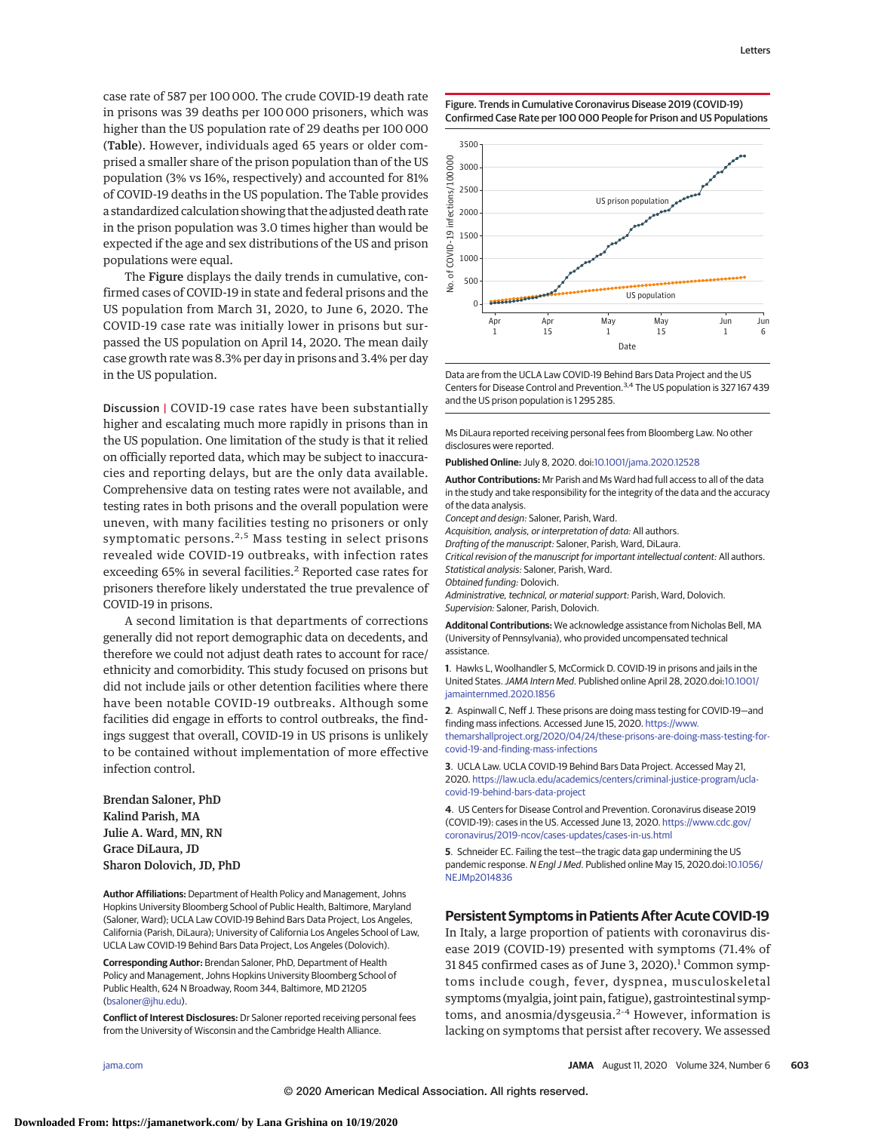case rate of 587 per 100 000. The crude COVID-19 death rate in prisons was 39 deaths per 100 000 prisoners, which was higher than the US population rate of 29 deaths per 100 000 (Table). However, individuals aged 65 years or older comprised a smaller share of the prison population than of the US population (3% vs 16%, respectively) and accounted for 81% of COVID-19 deaths in the US population. The Table provides a standardized calculation showing that the adjusted death rate in the prison population was 3.0 times higher than would be expected if the age and sex distributions of the US and prison populations were equal.

The Figure displays the daily trends in cumulative, confirmed cases of COVID-19 in state and federal prisons and the US population from March 31, 2020, to June 6, 2020. The COVID-19 case rate was initially lower in prisons but surpassed the US population on April 14, 2020. The mean daily case growth rate was 8.3% per day in prisons and 3.4% per day in the US population.

Discussion | COVID-19 case rates have been substantially higher and escalating much more rapidly in prisons than in the US population. One limitation of the study is that it relied on officially reported data, which may be subject to inaccuracies and reporting delays, but are the only data available. Comprehensive data on testing rates were not available, and testing rates in both prisons and the overall population were uneven, with many facilities testing no prisoners or only symptomatic persons. $2,5$  Mass testing in select prisons revealed wide COVID-19 outbreaks, with infection rates exceeding 65% in several facilities.<sup>2</sup> Reported case rates for prisoners therefore likely understated the true prevalence of COVID-19 in prisons.

A second limitation is that departments of corrections generally did not report demographic data on decedents, and therefore we could not adjust death rates to account for race/ ethnicity and comorbidity. This study focused on prisons but did not include jails or other detention facilities where there have been notable COVID-19 outbreaks. Although some facilities did engage in efforts to control outbreaks, the findings suggest that overall, COVID-19 in US prisons is unlikely to be contained without implementation of more effective infection control.

Brendan Saloner, PhD Kalind Parish, MA Julie A. Ward, MN, RN Grace DiLaura, JD Sharon Dolovich, JD, PhD

**Author Affiliations:** Department of Health Policy and Management, Johns Hopkins University Bloomberg School of Public Health, Baltimore, Maryland (Saloner, Ward); UCLA Law COVID-19 Behind Bars Data Project, Los Angeles, California (Parish, DiLaura); University of California Los Angeles School of Law, UCLA Law COVID-19 Behind Bars Data Project, Los Angeles (Dolovich).

**Corresponding Author:** Brendan Saloner, PhD, Department of Health Policy and Management, Johns Hopkins University Bloomberg School of Public Health, 624 N Broadway, Room 344, Baltimore, MD 21205 [\(bsaloner@jhu.edu\)](mailto:bsaloner@jhu.edu).

**Conflict of Interest Disclosures:** Dr Saloner reported receiving personal fees from the University of Wisconsin and the Cambridge Health Alliance.

Figure. Trends in Cumulative Coronavirus Disease 2019 (COVID-19) Confirmed Case Rate per 100 000 People for Prison and US Populations



Data are from the UCLA Law COVID-19 Behind Bars Data Project and the US Centers for Disease Control and Prevention.<sup>3,4</sup> The US population is 327 167 439 and the US prison population is 1 295 285.

Ms DiLaura reported receiving personal fees from Bloomberg Law. No other disclosures were reported.

**Published Online:** July 8, 2020. doi[:10.1001/jama.2020.12528](https://jamanetwork.com/journals/jama/fullarticle/10.1001/jama.2020.12528?utm_campaign=articlePDF%26utm_medium=articlePDFlink%26utm_source=articlePDF%26utm_content=jama.2020.12528)

**Author Contributions:** Mr Parish and Ms Ward had full access to all of the data in the study and take responsibility for the integrity of the data and the accuracy of the data analysis.

Concept and design: Saloner, Parish, Ward.

Acquisition, analysis, or interpretation of data: All authors.

Drafting of the manuscript: Saloner, Parish, Ward, DiLaura.

Critical revision of the manuscript for important intellectual content: All authors. Statistical analysis: Saloner, Parish, Ward.

Obtained funding: Dolovich.

Administrative, technical, or material support: Parish, Ward, Dolovich. Supervision: Saloner, Parish, Dolovich.

**Additonal Contributions:** We acknowledge assistance from Nicholas Bell, MA (University of Pennsylvania), who provided uncompensated technical assistance.

**1**. Hawks L, Woolhandler S, McCormick D. COVID-19 in prisons and jails in the United States.JAMA Intern Med. Published online April 28, 2020.doi[:10.1001/](https://jamanetwork.com/journals/jama/fullarticle/10.1001/jamainternmed.2020.1856?utm_campaign=articlePDF%26utm_medium=articlePDFlink%26utm_source=articlePDF%26utm_content=jama.2020.12528) [jamainternmed.2020.1856](https://jamanetwork.com/journals/jama/fullarticle/10.1001/jamainternmed.2020.1856?utm_campaign=articlePDF%26utm_medium=articlePDFlink%26utm_source=articlePDF%26utm_content=jama.2020.12528)

**2**. Aspinwall C, Neff J. These prisons are doing mass testing for COVID-19—and finding mass infections. Accessed June 15, 2020. [https://www.](https://www.themarshallproject.org/2020/04/24/these-prisons-are-doing-mass-testing-for-covid-19-and-finding-mass-infections) [themarshallproject.org/2020/04/24/these-prisons-are-doing-mass-testing-for](https://www.themarshallproject.org/2020/04/24/these-prisons-are-doing-mass-testing-for-covid-19-and-finding-mass-infections)[covid-19-and-finding-mass-infections](https://www.themarshallproject.org/2020/04/24/these-prisons-are-doing-mass-testing-for-covid-19-and-finding-mass-infections)

**3**. UCLA Law. UCLA COVID-19 Behind Bars Data Project. Accessed May 21, 2020. [https://law.ucla.edu/academics/centers/criminal-justice-program/ucla](https://law.ucla.edu/academics/centers/criminal-justice-program/ucla-covid-19-behind-bars-data-project)[covid-19-behind-bars-data-project](https://law.ucla.edu/academics/centers/criminal-justice-program/ucla-covid-19-behind-bars-data-project)

**4**. US Centers for Disease Control and Prevention. Coronavirus disease 2019 (COVID-19): cases in the US. Accessed June 13, 2020. [https://www.cdc.gov/](https://www.cdc.gov/coronavirus/2019-ncov/cases-updates/cases-in-us.html) [coronavirus/2019-ncov/cases-updates/cases-in-us.html](https://www.cdc.gov/coronavirus/2019-ncov/cases-updates/cases-in-us.html)

**5**. Schneider EC. Failing the test—the tragic data gap undermining the US pandemic response. N Engl J Med. Published online May 15, 2020.doi[:10.1056/](https://dx.doi.org/10.1056/NEJMp2014836) [NEJMp2014836](https://dx.doi.org/10.1056/NEJMp2014836)

## **Persistent Symptoms in Patients After Acute COVID-19**

In Italy, a large proportion of patients with coronavirus disease 2019 (COVID-19) presented with symptoms (71.4% of 31 845 confirmed cases as of June 3, 2020). $1$  Common symptoms include cough, fever, dyspnea, musculoskeletal symptoms (myalgia, joint pain, fatigue), gastrointestinal symptoms, and anosmia/dysgeusia. $2-4$  However, information is lacking on symptoms that persist after recovery. We assessed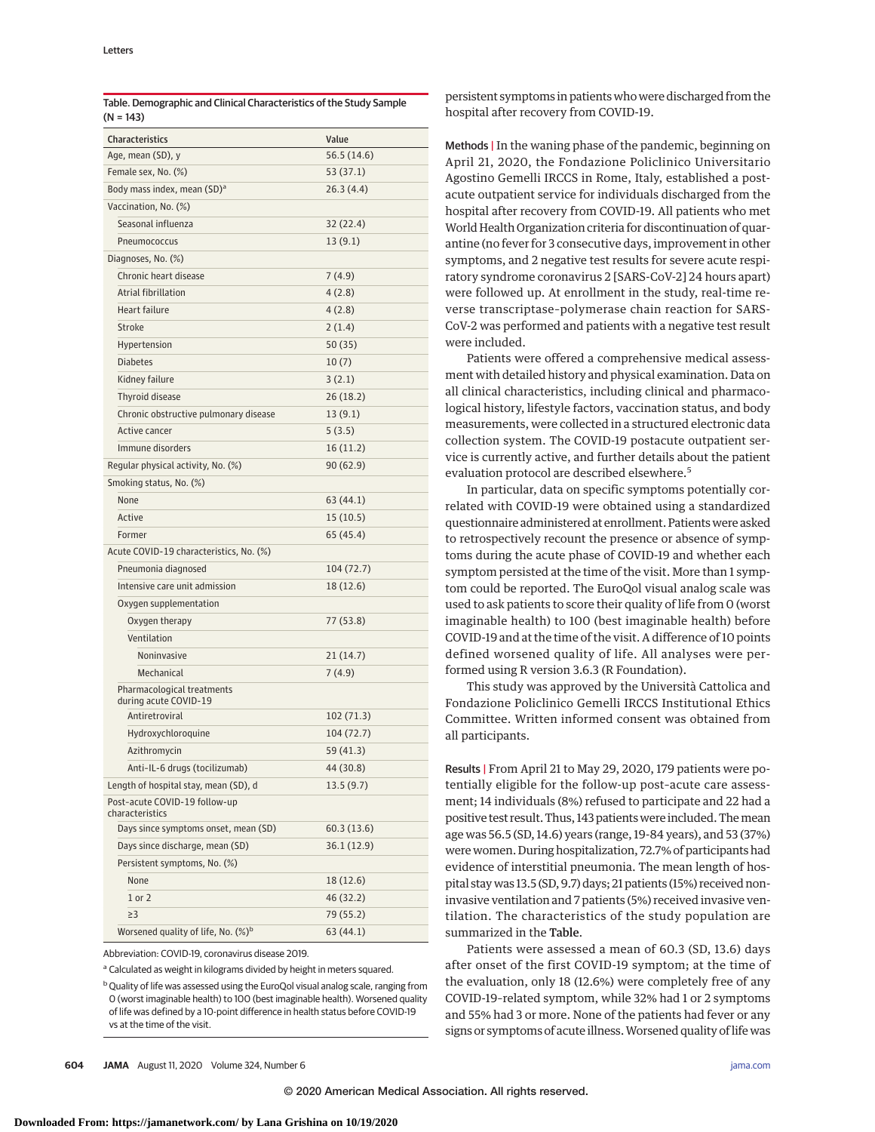| <b>Characteristics</b>                              | Value       |
|-----------------------------------------------------|-------------|
| Age, mean (SD), y                                   | 56.5 (14.6) |
| Female sex, No. (%)                                 | 53 (37.1)   |
| Body mass index, mean (SD) <sup>a</sup>             | 26.3(4.4)   |
| Vaccination, No. (%)                                |             |
| Seasonal influenza                                  | 32 (22.4)   |
| Pneumococcus                                        | 13(9.1)     |
| Diagnoses, No. (%)                                  |             |
| Chronic heart disease                               | 7(4.9)      |
| Atrial fibrillation                                 | 4(2.8)      |
| <b>Heart failure</b>                                | 4(2.8)      |
| Stroke                                              | 2(1.4)      |
| Hypertension                                        | 50 (35)     |
| <b>Diabetes</b>                                     | 10(7)       |
| Kidney failure                                      | 3(2.1)      |
| Thyroid disease                                     | 26 (18.2)   |
| Chronic obstructive pulmonary disease               | 13(9.1)     |
| Active cancer                                       | 5(3.5)      |
| Immune disorders                                    | 16 (11.2)   |
| Regular physical activity, No. (%)                  | 90(62.9)    |
| Smoking status, No. (%)                             |             |
| None                                                | 63 (44.1)   |
| Active                                              | 15 (10.5)   |
| Former                                              | 65 (45.4)   |
| Acute COVID-19 characteristics, No. (%)             |             |
| Pneumonia diagnosed                                 | 104 (72.7)  |
| Intensive care unit admission                       | 18 (12.6)   |
| Oxygen supplementation                              |             |
| Oxygen therapy                                      | 77 (53.8)   |
| Ventilation                                         |             |
| Noninvasive                                         | 21(14.7)    |
| Mechanical                                          | 7 (4.9)     |
| Pharmacological treatments<br>during acute COVID-19 |             |
| Antiretroviral                                      | 102 (71.3)  |
| Hydroxychloroquine                                  | 104 (72.7)  |
| Azithromycin                                        | 59 (41.3)   |
| Anti-IL-6 drugs (tocilizumab)                       | 44 (30.8)   |
| Length of hospital stay, mean (SD), d               | 13.5 (9.7)  |
| Post-acute COVID-19 follow-up<br>characteristics    |             |
| Days since symptoms onset, mean (SD)                | 60.3 (13.6) |
| Days since discharge, mean (SD)                     | 36.1 (12.9) |
| Persistent symptoms, No. (%)                        |             |
| None                                                | 18 (12.6)   |
| 1 or 2                                              | 46 (32.2)   |
| $\geq$ 3                                            | 79 (55.2)   |
| Worsened quality of life, No. (%) <sup>b</sup>      | 63 (44.1)   |

Table. Demographic and Clinical Characteristics of the Study Sample  $(N = 143)$ 

Abbreviation: COVID-19, coronavirus disease 2019.

<sup>a</sup> Calculated as weight in kilograms divided by height in meters squared.

<sup>b</sup> Quality of life was assessed using the EuroQol visual analog scale, ranging from 0 (worst imaginable health) to 100 (best imaginable health). Worsened quality of life was defined by a 10-point difference in health status before COVID-19 vs at the time of the visit.

persistent symptoms in patients who were discharged from the hospital after recovery from COVID-19.

Methods | In the waning phase of the pandemic, beginning on April 21, 2020, the Fondazione Policlinico Universitario Agostino Gemelli IRCCS in Rome, Italy, established a postacute outpatient service for individuals discharged from the hospital after recovery from COVID-19. All patients who met World Health Organization criteria for discontinuation of quarantine (no fever for 3 consecutive days, improvement in other symptoms, and 2 negative test results for severe acute respiratory syndrome coronavirus 2 [SARS-CoV-2] 24 hours apart) were followed up. At enrollment in the study, real-time reverse transcriptase–polymerase chain reaction for SARS-CoV-2 was performed and patients with a negative test result were included.

Patients were offered a comprehensive medical assessment with detailed history and physical examination. Data on all clinical characteristics, including clinical and pharmacological history, lifestyle factors, vaccination status, and body measurements, were collected in a structured electronic data collection system. The COVID-19 postacute outpatient service is currently active, and further details about the patient evaluation protocol are described elsewhere.<sup>5</sup>

In particular, data on specific symptoms potentially correlated with COVID-19 were obtained using a standardized questionnaire administered at enrollment. Patients were asked to retrospectively recount the presence or absence of symptoms during the acute phase of COVID-19 and whether each symptom persisted at the time of the visit. More than 1 symptom could be reported. The EuroQol visual analog scale was used to ask patients to score their quality of life from 0 (worst imaginable health) to 100 (best imaginable health) before COVID-19 and at the time of the visit. A difference of 10 points defined worsened quality of life. All analyses were performed using R version 3.6.3 (R Foundation).

This study was approved by the Università Cattolica and Fondazione Policlinico Gemelli IRCCS Institutional Ethics Committee. Written informed consent was obtained from all participants.

Results | From April 21 to May 29, 2020, 179 patients were potentially eligible for the follow-up post–acute care assessment; 14 individuals (8%) refused to participate and 22 had a positive test result. Thus, 143 patients were included. Themean age was 56.5 (SD, 14.6) years (range, 19-84 years), and 53 (37%) were women. During hospitalization, 72.7% of participants had evidence of interstitial pneumonia. The mean length of hospital stay was 13.5 (SD, 9.7) days; 21 patients (15%) received noninvasive ventilation and 7 patients (5%) received invasive ventilation. The characteristics of the study population are summarized in the Table.

Patients were assessed a mean of 60.3 (SD, 13.6) days after onset of the first COVID-19 symptom; at the time of the evaluation, only 18 (12.6%) were completely free of any COVID-19–related symptom, while 32% had 1 or 2 symptoms and 55% had 3 or more. None of the patients had fever or any signs or symptoms of acute illness.Worsened quality of life was